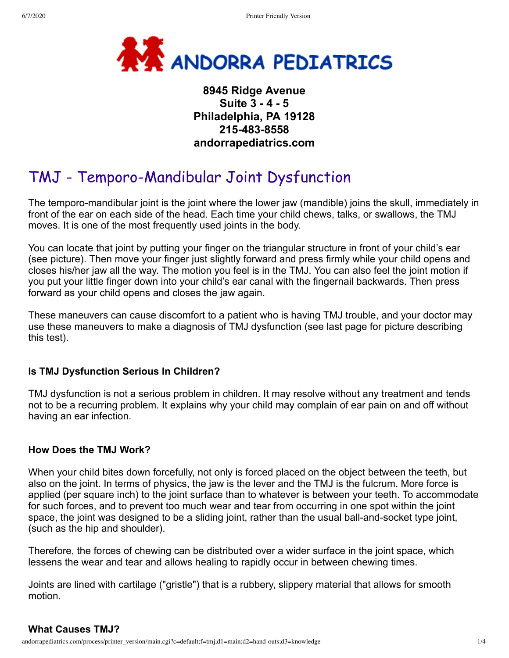

# **8945 Ridge Avenue Suite 3 - 4 - 5 Philadelphia, PA 19128 215-483-8558 andorrapediatrics.com**

# TMJ - Temporo-Mandibular Joint Dysfunction

The temporo-mandibular joint is the joint where the lower jaw (mandible) joins the skull, immediately in front of the ear on each side of the head. Each time your child chews, talks, or swallows, the TMJ moves. It is one of the most frequently used joints in the body.

You can locate that joint by putting your finger on the triangular structure in front of your child's ear (see picture). Then move your finger just slightly forward and press firmly while your child opens and closes his/her jaw all the way. The motion you feel is in the TMJ. You can also feel the joint motion if you put your little finger down into your child's ear canal with the fingernail backwards. Then press forward as your child opens and closes the jaw again.

These maneuvers can cause discomfort to a patient who is having TMJ trouble, and your doctor may use these maneuvers to make a diagnosis of TMJ dysfunction (see last page for picture describing this test).

#### **Is TMJ Dysfunction Serious In Children?**

TMJ dysfunction is not a serious problem in children. It may resolve without any treatment and tends not to be a recurring problem. It explains why your child may complain of ear pain on and off without having an ear infection.

#### **How Does the TMJ Work?**

When your child bites down forcefully, not only is forced placed on the object between the teeth, but also on the joint. In terms of physics, the jaw is the lever and the TMJ is the fulcrum. More force is applied (per square inch) to the joint surface than to whatever is between your teeth. To accommodate for such forces, and to prevent too much wear and tear from occurring in one spot within the joint space, the joint was designed to be a sliding joint, rather than the usual ball-and-socket type joint, (such as the hip and shoulder).

Therefore, the forces of chewing can be distributed over a wider surface in the joint space, which lessens the wear and tear and allows healing to rapidly occur in between chewing times.

Joints are lined with cartilage ("gristle") that is a rubbery, slippery material that allows for smooth motion.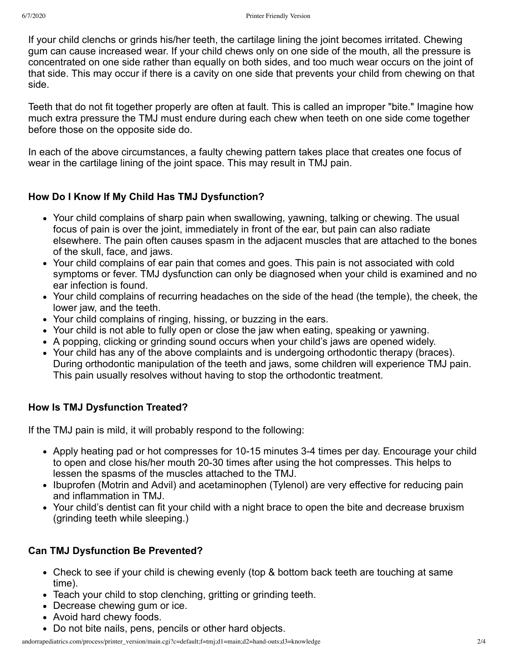If your child clenchs or grinds his/her teeth, the cartilage lining the joint becomes irritated. Chewing gum can cause increased wear. If your child chews only on one side of the mouth, all the pressure is concentrated on one side rather than equally on both sides, and too much wear occurs on the joint of that side. This may occur if there is a cavity on one side that prevents your child from chewing on that side.

Teeth that do not fit together properly are often at fault. This is called an improper "bite." Imagine how much extra pressure the TMJ must endure during each chew when teeth on one side come together before those on the opposite side do.

In each of the above circumstances, a faulty chewing pattern takes place that creates one focus of wear in the cartilage lining of the joint space. This may result in TMJ pain.

## **How Do I Know If My Child Has TMJ Dysfunction?**

- Your child complains of sharp pain when swallowing, yawning, talking or chewing. The usual focus of pain is over the joint, immediately in front of the ear, but pain can also radiate elsewhere. The pain often causes spasm in the adjacent muscles that are attached to the bones of the skull, face, and jaws.
- Your child complains of ear pain that comes and goes. This pain is not associated with cold symptoms or fever. TMJ dysfunction can only be diagnosed when your child is examined and no ear infection is found.
- Your child complains of recurring headaches on the side of the head (the temple), the cheek, the lower jaw, and the teeth.
- Your child complains of ringing, hissing, or buzzing in the ears.
- Your child is not able to fully open or close the jaw when eating, speaking or yawning.
- A popping, clicking or grinding sound occurs when your child's jaws are opened widely.
- Your child has any of the above complaints and is undergoing orthodontic therapy (braces). During orthodontic manipulation of the teeth and jaws, some children will experience TMJ pain. This pain usually resolves without having to stop the orthodontic treatment.

# **How Is TMJ Dysfunction Treated?**

If the TMJ pain is mild, it will probably respond to the following:

- Apply heating pad or hot compresses for 10-15 minutes 3-4 times per day. Encourage your child to open and close his/her mouth 20-30 times after using the hot compresses. This helps to lessen the spasms of the muscles attached to the TMJ.
- Ibuprofen (Motrin and Advil) and acetaminophen (Tylenol) are very effective for reducing pain and inflammation in TMJ.
- Your child's dentist can fit your child with a night brace to open the bite and decrease bruxism (grinding teeth while sleeping.)

## **Can TMJ Dysfunction Be Prevented?**

- Check to see if your child is chewing evenly (top & bottom back teeth are touching at same time).
- Teach your child to stop clenching, gritting or grinding teeth.
- Decrease chewing gum or ice.
- Avoid hard chewy foods.
- Do not bite nails, pens, pencils or other hard objects.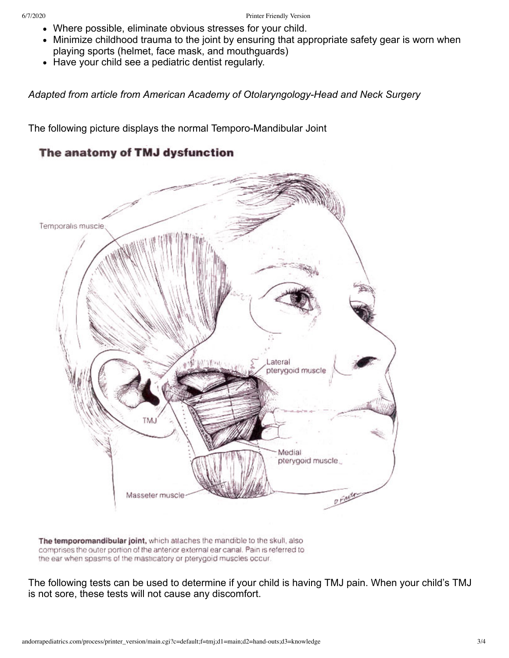- Where possible, eliminate obvious stresses for your child.
- Minimize childhood trauma to the joint by ensuring that appropriate safety gear is worn when playing sports (helmet, face mask, and mouthguards)
- Have your child see a pediatric dentist regularly.

*Adapted from article from American Academy of Otolaryngology-Head and Neck Surgery*

The following picture displays the normal Temporo-Mandibular Joint

# The anatomy of TMJ dysfunction



The temporomandibular joint, which attaches the mandible to the skull, also comprises the outer portion of the anterior external ear canal. Pain is referred to the ear when spasms of the masticatory or pterygoid muscles occur.

The following tests can be used to determine if your child is having TMJ pain. When your child's TMJ is not sore, these tests will not cause any discomfort.